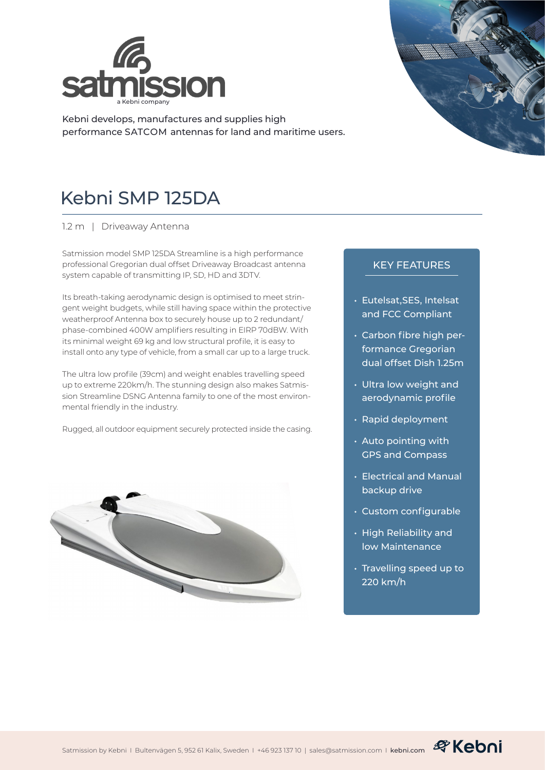

Kebni develops, manufactures and supplies high performance SATCOM antennas for land and maritime users.



1.2 m | Driveaway Antenna

Satmission model SMP 125DA Streamline is a high performance professional Gregorian dual offset Driveaway Broadcast antenna system capable of transmitting IP, SD, HD and 3DTV.

Its breath-taking aerodynamic design is optimised to meet stringent weight budgets, while still having space within the protective weatherproof Antenna box to securely house up to 2 redundant/ phase-combined 400W amplifiers resulting in EIRP 70dBW. With its minimal weight 69 kg and low structural profile, it is easy to install onto any type of vehicle, from a small car up to a large truck.

The ultra low profile (39cm) and weight enables travelling speed up to extreme 220km/h. The stunning design also makes Satmission Streamline DSNG Antenna family to one of the most environmental friendly in the industry.

Rugged, all outdoor equipment securely protected inside the casing.





## KEY FEATURES

- Eutelsat,SES, Intelsat and FCC Compliant
- Carbon fibre high performance Gregorian dual offset Dish 1.25m
- Ultra low weight and aerodynamic profile
- Rapid deployment
- Auto pointing with GPS and Compass
- Electrical and Manual backup drive
- Custom configurable
- High Reliability and low Maintenance
- Travelling speed up to 220 km/h